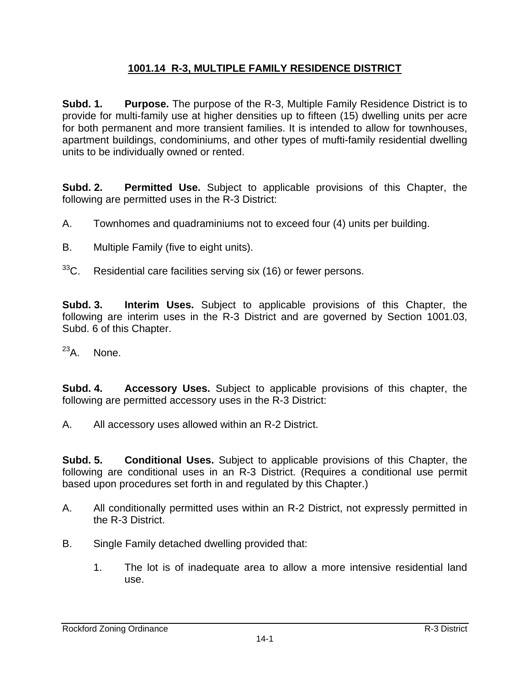## **1001.14 R-3, MULTIPLE FAMILY RESIDENCE DISTRICT**

**Subd. 1. Purpose.** The purpose of the R-3, Multiple Family Residence District is to provide for multi-family use at higher densities up to fifteen (15) dwelling units per acre for both permanent and more transient families. It is intended to allow for townhouses, apartment buildings, condominiums, and other types of mufti-family residential dwelling units to be individually owned or rented.

**Subd. 2. Permitted Use.** Subject to applicable provisions of this Chapter, the following are permitted uses in the R-3 District:

- A. Townhomes and quadraminiums not to exceed four (4) units per building.
- B. Multiple Family (five to eight units).
- $33^{\circ}$ C. Residential care facilities serving six (16) or fewer persons.

**Subd. 3. Interim Uses.** Subject to applicable provisions of this Chapter, the following are interim uses in the R-3 District and are governed by Section 1001.03, Subd. 6 of this Chapter.

 $^{23}$ A. None.

**Subd. 4. Accessory Uses.** Subject to applicable provisions of this chapter, the following are permitted accessory uses in the R-3 District:

A. All accessory uses allowed within an R-2 District.

**Subd. 5. Conditional Uses.** Subject to applicable provisions of this Chapter, the following are conditional uses in an R-3 District. (Requires a conditional use permit based upon procedures set forth in and regulated by this Chapter.)

- A. All conditionally permitted uses within an R-2 District, not expressly permitted in the R-3 District.
- B. Single Family detached dwelling provided that:
	- 1. The lot is of inadequate area to allow a more intensive residential land use.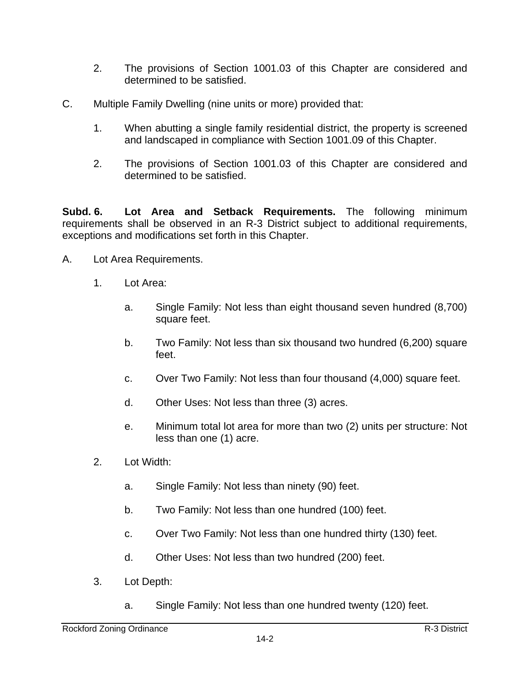- 2. The provisions of Section 1001.03 of this Chapter are considered and determined to be satisfied.
- C. Multiple Family Dwelling (nine units or more) provided that:
	- 1. When abutting a single family residential district, the property is screened and landscaped in compliance with Section 1001.09 of this Chapter.
	- 2. The provisions of Section 1001.03 of this Chapter are considered and determined to be satisfied.

**Subd. 6. Lot Area and Setback Requirements.** The following minimum requirements shall be observed in an R-3 District subject to additional requirements, exceptions and modifications set forth in this Chapter.

- A. Lot Area Requirements.
	- 1. Lot Area:
		- a. Single Family: Not less than eight thousand seven hundred (8,700) square feet.
		- b. Two Family: Not less than six thousand two hundred (6,200) square feet.
		- c. Over Two Family: Not less than four thousand (4,000) square feet.
		- d. Other Uses: Not less than three (3) acres.
		- e. Minimum total lot area for more than two (2) units per structure: Not less than one (1) acre.
	- 2. Lot Width:
		- a. Single Family: Not less than ninety (90) feet.
		- b. Two Family: Not less than one hundred (100) feet.
		- c. Over Two Family: Not less than one hundred thirty (130) feet.
		- d. Other Uses: Not less than two hundred (200) feet.
	- 3. Lot Depth:
		- a. Single Family: Not less than one hundred twenty (120) feet.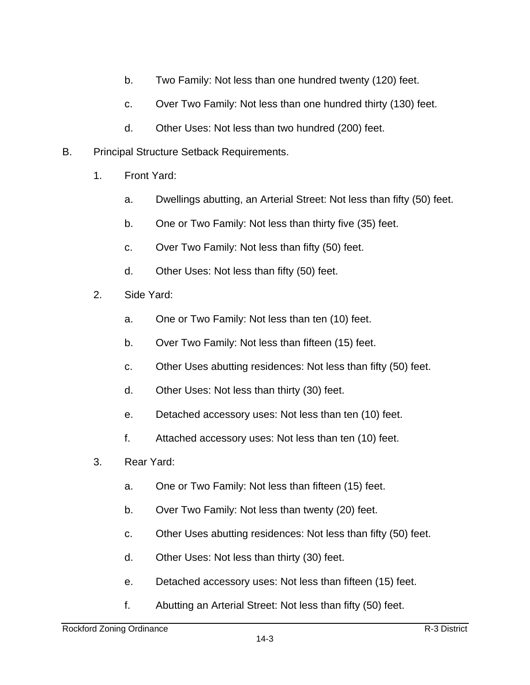- b. Two Family: Not less than one hundred twenty (120) feet.
- c. Over Two Family: Not less than one hundred thirty (130) feet.
- d. Other Uses: Not less than two hundred (200) feet.
- B. Principal Structure Setback Requirements.
	- 1. Front Yard:
		- a. Dwellings abutting, an Arterial Street: Not less than fifty (50) feet.
		- b. One or Two Family: Not less than thirty five (35) feet.
		- c. Over Two Family: Not less than fifty (50) feet.
		- d. Other Uses: Not less than fifty (50) feet.
	- 2. Side Yard:
		- a. One or Two Family: Not less than ten (10) feet.
		- b. Over Two Family: Not less than fifteen (15) feet.
		- c. Other Uses abutting residences: Not less than fifty (50) feet.
		- d. Other Uses: Not less than thirty (30) feet.
		- e. Detached accessory uses: Not less than ten (10) feet.
		- f. Attached accessory uses: Not less than ten (10) feet.
	- 3. Rear Yard:
		- a. One or Two Family: Not less than fifteen (15) feet.
		- b. Over Two Family: Not less than twenty (20) feet.
		- c. Other Uses abutting residences: Not less than fifty (50) feet.
		- d. Other Uses: Not less than thirty (30) feet.
		- e. Detached accessory uses: Not less than fifteen (15) feet.
		- f. Abutting an Arterial Street: Not less than fifty (50) feet.